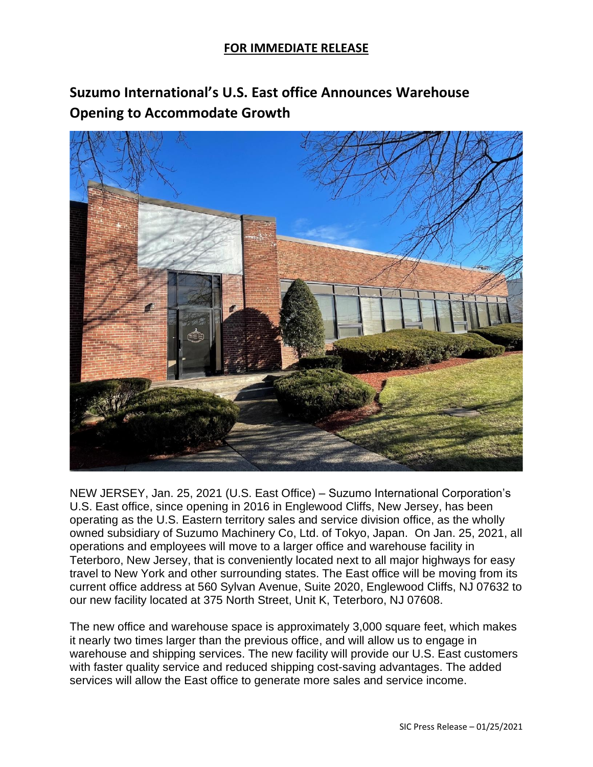## **FOR IMMEDIATE RELEASE**

**Suzumo International's U.S. East office Announces Warehouse Opening to Accommodate Growth**



NEW JERSEY, Jan. 25, 2021 (U.S. East Office) – Suzumo International Corporation's U.S. East office, since opening in 2016 in Englewood Cliffs, New Jersey, has been operating as the U.S. Eastern territory sales and service division office, as the wholly owned subsidiary of Suzumo Machinery Co, Ltd. of Tokyo, Japan. On Jan. 25, 2021, all operations and employees will move to a larger office and warehouse facility in Teterboro, New Jersey, that is conveniently located next to all major highways for easy travel to New York and other surrounding states. The East office will be moving from its current office address at 560 Sylvan Avenue, Suite 2020, Englewood Cliffs, NJ 07632 to our new facility located at 375 North Street, Unit K, Teterboro, NJ 07608.

The new office and warehouse space is approximately 3,000 square feet, which makes it nearly two times larger than the previous office, and will allow us to engage in warehouse and shipping services. The new facility will provide our U.S. East customers with faster quality service and reduced shipping cost-saving advantages. The added services will allow the East office to generate more sales and service income.